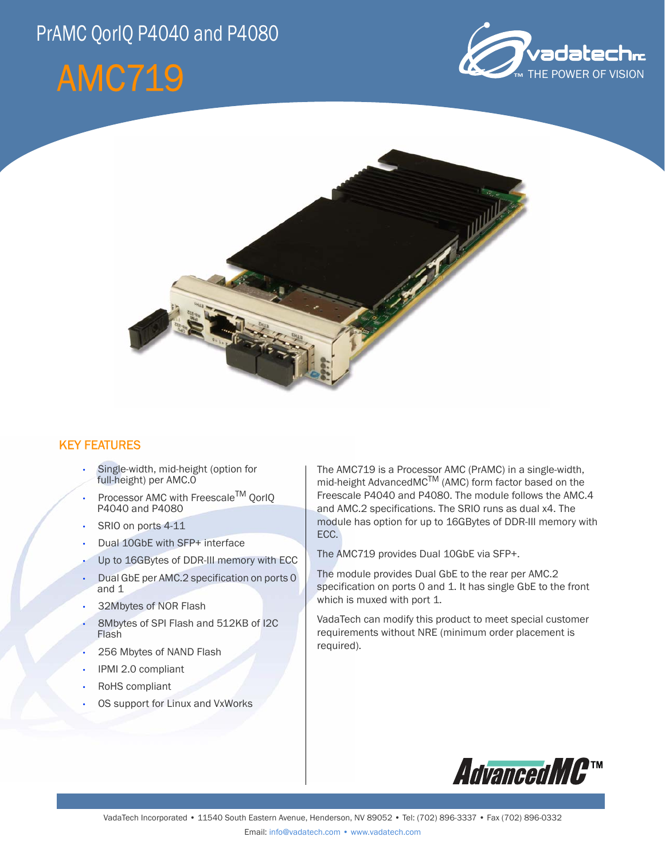## PrAMC QorIQ P4040 and P4080

# AMC719





### KEY FEATURES

- Single-width, mid-height (option for full-height) per AMC.0
- Processor AMC with Freescale<sup>TM</sup> OorlO P4040 and P4080
- SRIO on ports 4-11
- Dual 10GbE with SFP+ interface
- Up to 16GBytes of DDR-III memory with ECC
- Dual GbE per AMC.2 specification on ports 0 and 1
- 32Mbytes of NOR Flash
- 8Mbytes of SPI Flash and 512KB of I2C Flash
- 256 Mbytes of NAND Flash
- IPMI 2.0 compliant
- RoHS compliant
- OS support for Linux and VxWorks

The AMC719 is a Processor AMC (PrAMC) in a single-width, mid-height AdvancedMC<sup>TM</sup> (AMC) form factor based on the Freescale P4040 and P4080. The module follows the AMC.4 and AMC.2 specifications. The SRIO runs as dual x4. The module has option for up to 16GBytes of DDR-III memory with ECC.

The AMC719 provides Dual 10GbE via SFP+.

The module provides Dual GbE to the rear per AMC.2 specification on ports 0 and 1. It has single GbE to the front which is muxed with port 1.

VadaTech can modify this product to meet special customer requirements without NRE (minimum order placement is required).

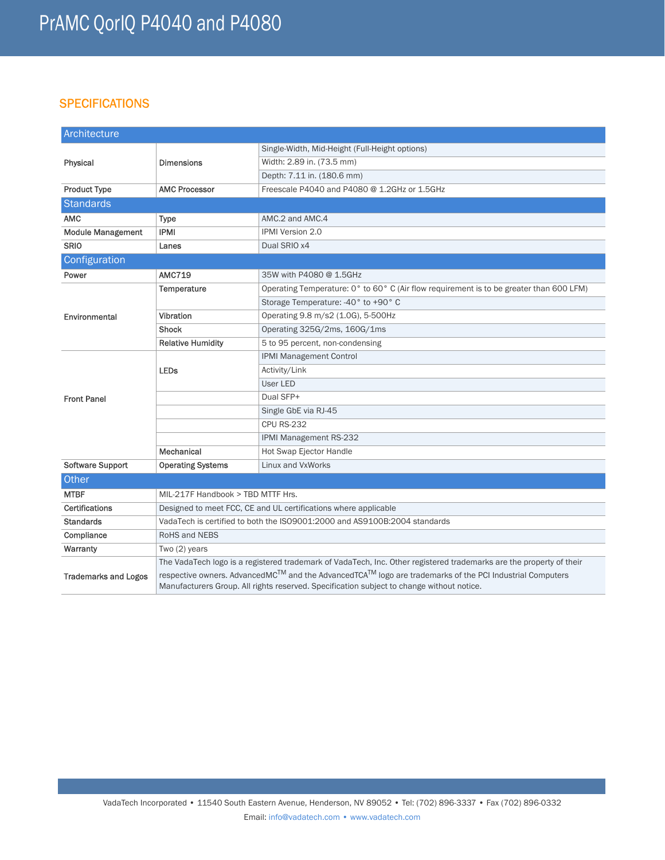### **SPECIFICATIONS**

| Architecture                |                                                                                                                                                                                                      |                                                                                         |
|-----------------------------|------------------------------------------------------------------------------------------------------------------------------------------------------------------------------------------------------|-----------------------------------------------------------------------------------------|
| Physical                    | <b>Dimensions</b>                                                                                                                                                                                    | Single-Width, Mid-Height (Full-Height options)                                          |
|                             |                                                                                                                                                                                                      | Width: 2.89 in. (73.5 mm)                                                               |
|                             |                                                                                                                                                                                                      | Depth: 7.11 in. (180.6 mm)                                                              |
| <b>Product Type</b>         | <b>AMC Processor</b>                                                                                                                                                                                 | Freescale P4040 and P4080 @ 1.2GHz or 1.5GHz                                            |
| <b>Standards</b>            |                                                                                                                                                                                                      |                                                                                         |
| <b>AMC</b>                  | <b>Type</b>                                                                                                                                                                                          | AMC.2 and AMC.4                                                                         |
| <b>Module Management</b>    | <b>IPMI</b>                                                                                                                                                                                          | IPMI Version 2.0                                                                        |
| <b>SRIO</b>                 | Lanes                                                                                                                                                                                                | Dual SRIO x4                                                                            |
| Configuration               |                                                                                                                                                                                                      |                                                                                         |
| Power                       | <b>AMC719</b>                                                                                                                                                                                        | 35W with P4080 @ 1.5GHz                                                                 |
| Environmental               | Temperature                                                                                                                                                                                          | Operating Temperature: 0° to 60° C (Air flow requirement is to be greater than 600 LFM) |
|                             |                                                                                                                                                                                                      | Storage Temperature: -40° to +90° C                                                     |
|                             | Vibration                                                                                                                                                                                            | Operating 9.8 m/s2 (1.0G), 5-500Hz                                                      |
|                             | <b>Shock</b>                                                                                                                                                                                         | Operating 325G/2ms, 160G/1ms                                                            |
|                             | <b>Relative Humidity</b>                                                                                                                                                                             | 5 to 95 percent, non-condensing                                                         |
| <b>Front Panel</b>          | <b>LEDs</b>                                                                                                                                                                                          | <b>IPMI Management Control</b>                                                          |
|                             |                                                                                                                                                                                                      | Activity/Link                                                                           |
|                             |                                                                                                                                                                                                      | User LED                                                                                |
|                             |                                                                                                                                                                                                      | Dual SFP+                                                                               |
|                             |                                                                                                                                                                                                      | Single GbE via RJ-45                                                                    |
|                             |                                                                                                                                                                                                      | <b>CPU RS-232</b>                                                                       |
|                             |                                                                                                                                                                                                      | IPMI Management RS-232                                                                  |
|                             | Mechanical                                                                                                                                                                                           | Hot Swap Ejector Handle                                                                 |
| <b>Software Support</b>     | <b>Operating Systems</b>                                                                                                                                                                             | Linux and VxWorks                                                                       |
| Other                       |                                                                                                                                                                                                      |                                                                                         |
| <b>MTBF</b>                 | MIL-217F Handbook > TBD MTTF Hrs.                                                                                                                                                                    |                                                                                         |
| <b>Certifications</b>       | Designed to meet FCC, CE and UL certifications where applicable                                                                                                                                      |                                                                                         |
| <b>Standards</b>            | VadaTech is certified to both the ISO9001:2000 and AS9100B:2004 standards                                                                                                                            |                                                                                         |
| Compliance                  | <b>RoHS and NEBS</b>                                                                                                                                                                                 |                                                                                         |
| Warranty                    | Two $(2)$ years                                                                                                                                                                                      |                                                                                         |
| <b>Trademarks and Logos</b> | The VadaTech logo is a registered trademark of VadaTech, Inc. Other registered trademarks are the property of their                                                                                  |                                                                                         |
|                             | respective owners. AdvancedMC™ and the AdvancedTCA™ logo are trademarks of the PCI Industrial Computers<br>Manufacturers Group. All rights reserved. Specification subject to change without notice. |                                                                                         |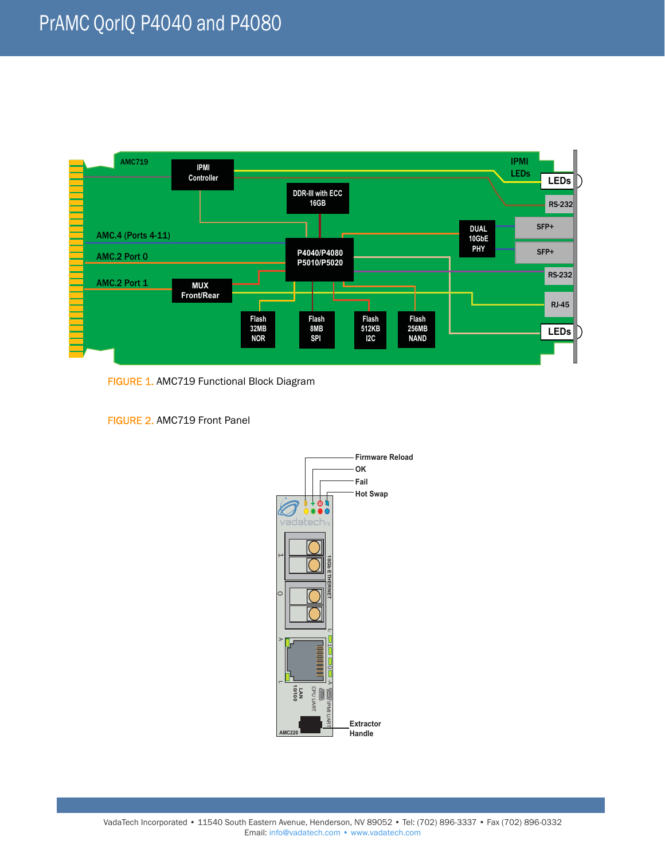

FIGURE 1. AMC719 Functional Block Diagram

FIGURE 2. AMC719 Front Panel